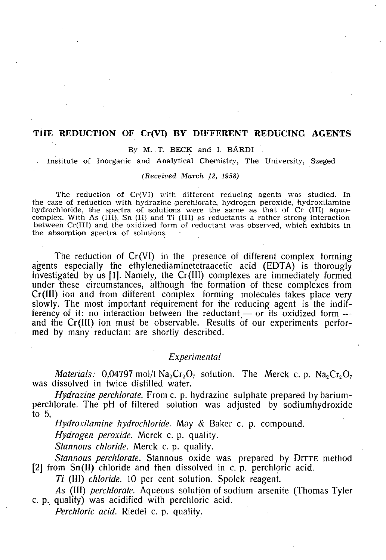# **THE REDUCTION OF Cr(VI) BY DIFFERENT REDUCING AGENTS**

## By M. T. BECK and I. BÁRDI

Institute of Inorganic and Analytical Chemistry, The University, Szeged

### *(Received March 12, 1958)*

The reduction of Cr(VI) with different reducing agents was studied. In the case of reduction with hydrazine perchlorate, hydrogen peroxide, hydroxilamine hydrochloride, the spectra of solutions were the same as that of Cr (III) aquocomplex. With As  $(III)$ , Sn  $(II)$  and Ti  $(III)$  as reductants a rather strong interaction between Cr(III) and the oxidized form of reductant was observed, which exhibits in the absorption spectra of solutions.

The reduction of Cr(VI) in the presence of different complex forming agents especially the ethylenediaminetetraacetic acid (EDTA) is thorougly investigated by us [1]. Namely, the Cr(III) complexes are immediately formed under these circumstances, although the formation of these complexes from Cr(III) ion and from different complex forming molecules takes place very slowly. The most important requirement for the reducing agent is the indifferency of it: no interaction between the reductant — or its oxidized form and the Cr(III) ion must be observable. Results of our experiments performed by many reductant are shortly described.

## *Experimental*

*Materials:* 0,04797 mol/l  $Na<sub>2</sub>Cr<sub>2</sub>O<sub>7</sub>$  solution. The Merck c.p.  $Na<sub>2</sub>Cr<sub>2</sub>O<sub>7</sub>$ was dissolved in twice distilled water.

*Hydrazine perchlorate.* From c. p. hydrazine sulphate prepared by bariumperchlorate. The pH of filtered solution was adjusted by sodiumhydroxide to 5.

*Hydroxilamine hydrochloride.* May & Baker c. p. compound.

*Hydrogen peroxide.* Merck c. p. quality.

*Stannous chloride.* Merck c. p. quality.

*Stannous perchlorate.* Stannous oxide was prepared by DITTE method [2] from Sn(II) chloride and then dissolved in c. p. perchloric acid.

77 (III) *chloride.* 10 per cent solution. Spolek reagent.

*As* (III) *perchlorate.* Aqueous solution of sodium arsenite (Thomas Tyler c. p. quality) was acidified with perchloric acid.

*Perchloric acid.* Riedel c. p. quality.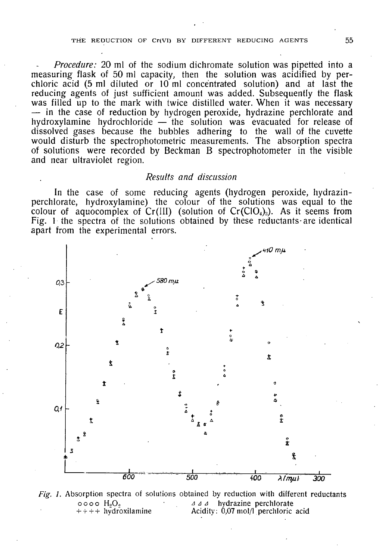## THE REDUCTION OF Cr(VI) BY DIFFERENT REDUCING AGENTS 55

*Procedure:* 20 ml of the sodium dichromate solution was pipetted into a measuring flask of 50 ml capacity, then the solution was acidified by perchloric acid (5 ml diluted or  $10 \text{ ml}$  concentrated solution) and at last the reducing agents of just sufficient amount was added. Subsequently the flask was filled up to the mark with twice distilled water. When it was necessary — in the case of reduction by hydrogen peroxide, hydrazine perchlorate and hydroxylamine hydrochloride — the solution was evacuated for release of dissolved gases because the bubbles adhering to the wall of the cuvette would disturb the spectrophotometric measurements. The absorption spectra of solutions were recorded by Beckman B spectrophotometer in the visible and near ultraviolet region.

# *Results and discussion*

In the case of some reducing agents (hydrogen peroxide, hydrazinperchlorate, hydroxylamine) the colour of the solutions was equal to the colour of aquocomplex of Cr(III) (solution of Cr(ClO<sub>4</sub>)<sub>3</sub>). As it seems from Fig. 1 the spectra of the solutions obtained by these reductants-are identical apart from the experimental errors.



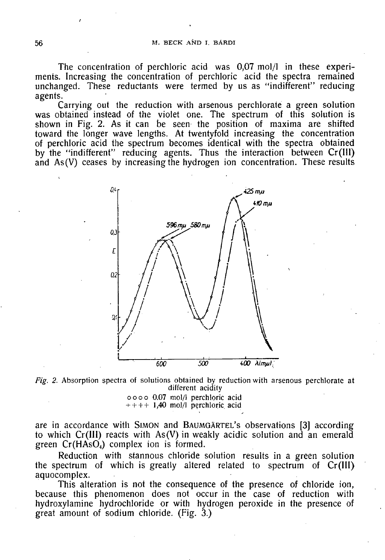The concentration of perchloric acid was 0,07 mol/1 in these experiments. Increasing the concentration of perchloric acid the spectra remained unchanged. These reductants were termed by us as "indifferent" reducing agents.

Carrying out the reduction with arsenous perchlorate a green solution was obtained instead of the violet one. The spectrum of this solution is shown in Fig. 2. As it can be seen the position of maxima are shifted toward the longer wave lengths. At twentyfold increasing the concentration of perchloric acid the spectrum becomes identical with the spectra obtained by the "indifferent" reducing agents. Thus the interaction between Cr(III) and As(V) ceases by increasing the hydrogen ion concentration. These results



*Fig. 2.* Absorption spectra of solutions obtained by reduction with arsenous perchlorate at different acidity

ooo o 0.07 mol/1 perchloric acid  $++++1,40$  mol/l perchloric acid

are in accordance with SIMON and BAUMGARTEL'S observations [3] according to which Cr(III) reacts with As(V) in weakly acidic solution and an emerald green  $Cr(HASO<sub>4</sub>)$  complex ion is formed.

Reduction with stannous chloride solution results in a green solution the spectrum of which is greatly altered related to spectrum of Cr(III) aquocomplex.

This alteration is not the consequence of the presence of chloride ion, because this phenomenon does not occur in the case of reduction with hydroxylamine hydrochloride or with hydrogen peroxide in the presence of great amount of sodium chloride. (Fig. 3.)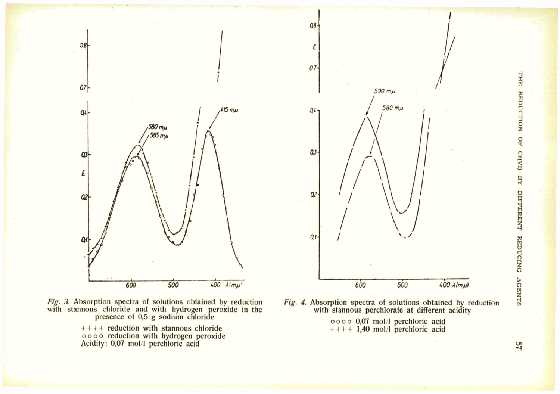



 $++++$  reduction with stannous chloride ooo o reduction with hydrogen peroxide Acidity: 0,07 mol/1 perchloric acid



 $a8 -$ 

*Fig. 4.* Absorption spectra of solutions obtained by reduction  $\overline{a}$ with stannous perchlorate at different acidity

> ooo o 0,07 mol/1 perchloric acid  $++++1,40$  mol/l perchloric acid

THTE REDUCTION  $_{5}$ **Cr(VI)**  $R_{\rm A}$ **DIFFERENT G** O *3 a*  z

57